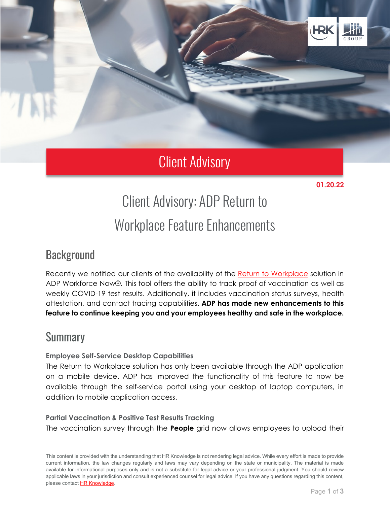

## Client Advisory

**01.20.22** 

# Client Advisory: ADP Return to Workplace Feature Enhancements

### **Background**

Recently we notified our clients of the availability of the [Return to Workplace](https://www.adp.com/what-we-offer/products/return-to-workplace.aspx?elq_mid=10983&elq_cid=6985483&cid=elq_BUServices_9624&assetid=10983) solution in ADP Workforce Now®. This tool offers the ability to track proof of vaccination as well as weekly COVID-19 test results. Additionally, it includes vaccination status surveys, health attestation, and contact tracing capabilities. **ADP has made new enhancements to this feature to continue keeping you and your employees healthy and safe in the workplace.**

### **Summary**

#### **Employee Self-Service Desktop Capabilities**

The Return to Workplace solution has only been available through the ADP application on a mobile device. ADP has improved the functionality of this feature to now be available through the self-service portal using your desktop of laptop computers, in addition to mobile application access.

#### **Partial Vaccination & Positive Test Results Tracking**

The vaccination survey through the **People** grid now allows employees to upload their

This content is provided with the understanding that HR Knowledge is not rendering legal advice. While every effort is made to provide current information, the law changes regularly and laws may vary depending on the state or municipality. The material is made available for informational purposes only and is not a substitute for legal advice or your professional judgment. You should review applicable laws in your jurisdiction and consult experienced counsel for legal advice. If you have any questions regarding this content, please contact [HR Knowledge.](mailto:marketing@hrknowledge.com)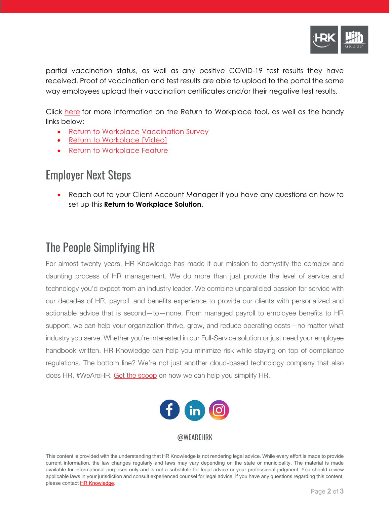

partial vaccination status, as well as any positive COVID-19 test results they have received. Proof of vaccination and test results are able to upload to the portal the same way employees upload their vaccination certificates and/or their negative test results.

Click [here](https://www.adp.com/what-we-offer/products/return-to-workplace.aspx) for more information on the Return to Workplace tool, as well as the handy links below:

- Return to Workplace [Vaccination](https://thebridge.adp.com/workforce-now/solutions-now/w/wiki/6721/return-to-workplace-vaccination-survey) Survey
- Return to [Workplace](https://www.youtube.com/watch?v=YQkxRFLmE2I) [Video]
- **Return to [Workplace](https://thebridge.adp.com/workforce-now/solutions-now/w/wiki/5376/return-to-workplace-feature) Feature**

### Employer Next Steps

• Reach out to your Client Account Manager if you have any questions on how to set up this **Return to Workplace Solution.**

### The People Simplifying HR

For almost twenty years, HR Knowledge has made it our mission to demystify the complex and daunting process of HR management. We do more than just provide the level of service and technology you'd expect from an industry leader. We combine unparalleled passion for service with our decades of HR, payroll, and benefits experience to provide our clients with personalized and actionable advice that is second—to—none. From managed payroll to employee benefits to HR support, we can help your organization thrive, grow, and reduce operating costs—no matter what industry you serve. Whether you're interested in our Full-Service solution or just need your employee handbook written, HR Knowledge can help you minimize risk while staying on top of compliance regulations. The bottom line? We're not just another cloud-based technology company that also does HR, #WeAreHR. [Get the scoop](http://www.hrknowledge.com/getthescoop/) on how we can help you simplify HR.



#### @WEAREHRK

This content is provided with the understanding that HR Knowledge is not rendering legal advice. While every effort is made to provide current information, the law changes regularly and laws may vary depending on the state or municipality. The material is made available for informational purposes only and is not a substitute for legal advice or your professional judgment. You should review applicable laws in your jurisdiction and consult experienced counsel for legal advice. If you have any questions regarding this content, please contact [HR Knowledge.](mailto:marketing@hrknowledge.com)